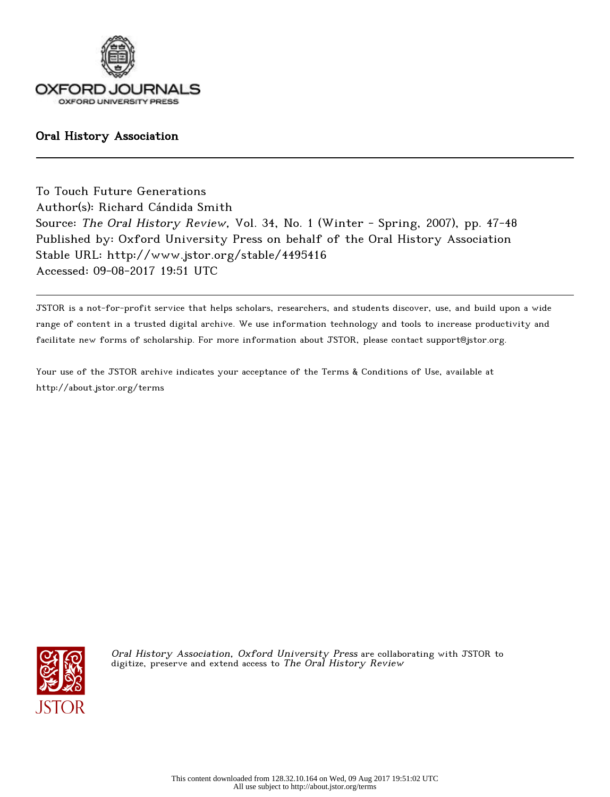

## Oral History Association

To Touch Future Generations Author(s): Richard Cándida Smith Source: The Oral History Review, Vol. 34, No. 1 (Winter - Spring, 2007), pp. 47-48 Published by: Oxford University Press on behalf of the Oral History Association Stable URL: http://www.jstor.org/stable/4495416 Accessed: 09-08-2017 19:51 UTC

JSTOR is a not-for-profit service that helps scholars, researchers, and students discover, use, and build upon a wide range of content in a trusted digital archive. We use information technology and tools to increase productivity and facilitate new forms of scholarship. For more information about JSTOR, please contact support@jstor.org.

Your use of the JSTOR archive indicates your acceptance of the Terms & Conditions of Use, available at http://about.jstor.org/terms



Oral History Association, Oxford University Press are collaborating with JSTOR to digitize, preserve and extend access to The Oral History Review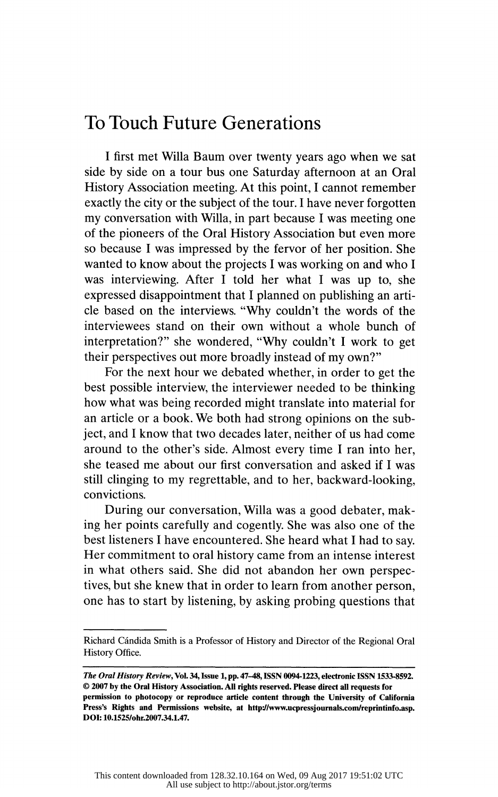## To Touch Future Generations

 I first met Willa Baum over twenty years ago when we sat side by side on a tour bus one Saturday afternoon at an Oral History Association meeting. At this point, I cannot remember exactly the city or the subject of the tour. I have never forgotten my conversation with Willa, in part because I was meeting one of the pioneers of the Oral History Association but even more so because I was impressed by the fervor of her position. She wanted to know about the projects I was working on and who I was interviewing. After I told her what I was up to, she expressed disappointment that I planned on publishing an arti cle based on the interviews. "Why couldn't the words of the interviewees stand on their own without a whole bunch of interpretation?" she wondered, "Why couldn't I work to get their perspectives out more broadly instead of my own?"

 For the next hour we debated whether, in order to get the best possible interview, the interviewer needed to be thinking how what was being recorded might translate into material for an article or a book. We both had strong opinions on the sub ject, and I know that two decades later, neither of us had come around to the other's side. Almost every time I ran into her, she teased me about our first conversation and asked if I was still clinging to my regrettable, and to her, backward-looking, convictions.

 During our conversation, Willa was a good debater, mak ing her points carefully and cogently. She was also one of the best listeners I have encountered. She heard what I had to say. Her commitment to oral history came from an intense interest in what others said. She did not abandon her own perspec tives, but she knew that in order to learn from another person, one has to start by listening, by asking probing questions that

Richard Cándida Smith is a Professor of History and Director of the Regional Oral History Office.

The Oral History Review, Vol. 34, Issue 1, pp. 47-48, ISSN 0094-1223, electronic ISSN 1533-8592. ? 2007 by the Oral History Association. All rights reserved. Please direct all requests for permission to photocopy or reproduce article content through the University of California Press's Rights and Permissions website, at http://www.ucpressjournals.com/reprintinfo.asp. DOI: 10.1525/ohr.2007.34.1.47.